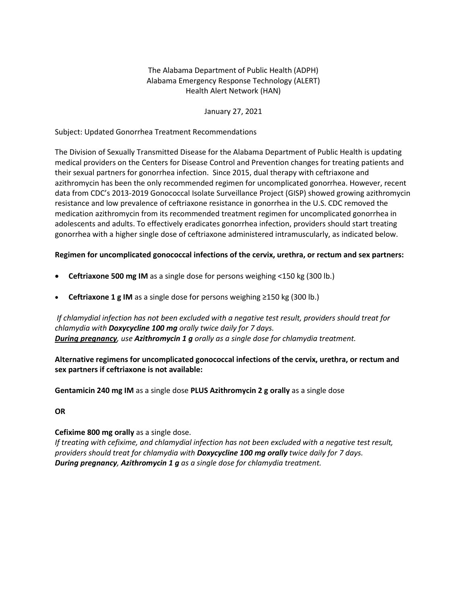# The Alabama Department of Public Health (ADPH) Alabama Emergency Response Technology (ALERT) Health Alert Network (HAN)

### January 27, 2021

### Subject: Updated Gonorrhea Treatment Recommendations

The Division of Sexually Transmitted Disease for the Alabama Department of Public Health is updating medical providers on the Centers for Disease Control and Prevention changes for treating patients and their sexual partners for gonorrhea infection. Since 2015, dual therapy with ceftriaxone and azithromycin has been the only recommended regimen for uncomplicated gonorrhea. However, recent data from CDC's 2013-2019 Gonococcal Isolate Surveillance Project (GISP) showed growing azithromycin resistance and low prevalence of ceftriaxone resistance in gonorrhea in the U.S. CDC removed the medication azithromycin from its recommended treatment regimen for uncomplicated gonorrhea in adolescents and adults. To effectively eradicates gonorrhea infection, providers should start treating gonorrhea with a higher single dose of ceftriaxone administered intramuscularly, as indicated below.

#### **Regimen for uncomplicated gonococcal infections of the cervix, urethra, or rectum and sex partners:**

- **Ceftriaxone 500 mg IM** as a single dose for persons weighing <150 kg (300 lb.)
- **Ceftriaxone 1 g IM** as a single dose for persons weighing ≥150 kg (300 lb.)

*If chlamydial infection has not been excluded with a negative test result, providers should treat for chlamydia with Doxycycline 100 mg orally twice daily for 7 days. During pregnancy, use Azithromycin 1 g orally as a single dose for chlamydia treatment.*

**Alternative regimens for uncomplicated gonococcal infections of the cervix, urethra, or rectum and sex partners if ceftriaxone is not available:**

**Gentamicin 240 mg IM** as a single dose **PLUS Azithromycin 2 g orally** as a single dose

#### **OR**

## **Cefixime 800 mg orally** as a single dose.

*If treating with cefixime, and chlamydial infection has not been excluded with a negative test result, providers should treat for chlamydia with Doxycycline 100 mg orally twice daily for 7 days. During pregnancy, Azithromycin 1 g as a single dose for chlamydia treatment.*